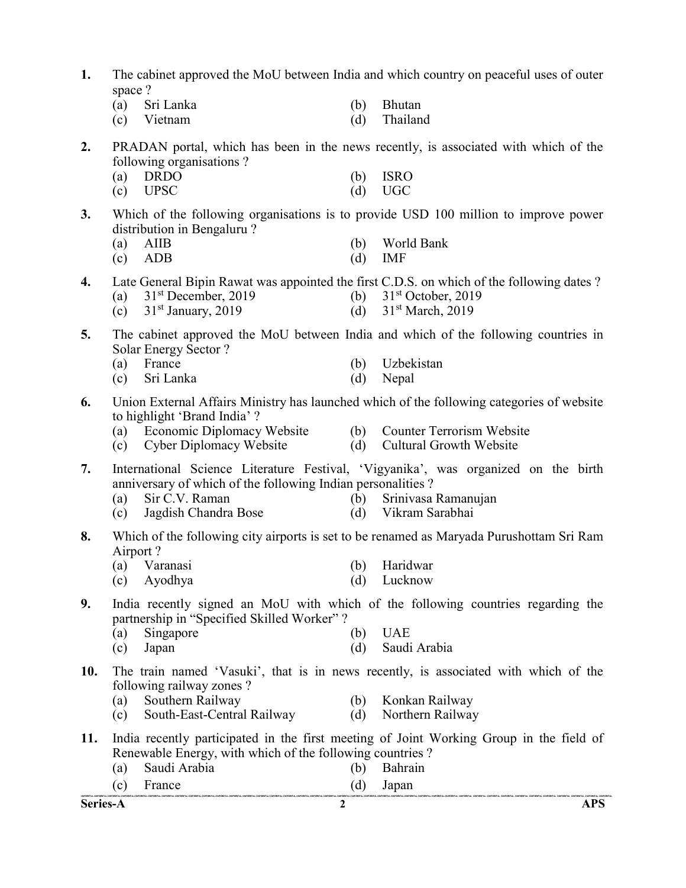- 1. The cabinet approved the MoU between India and which country on peaceful uses of outer space ?
	- (a) Sri Lanka (b) Bhutan
	- (c) Vietnam (d) Thailand
- 2. PRADAN portal, which has been in the news recently, is associated with which of the following organisations ?
	- (a) DRDO (b) ISRO (c) UPSC (d) UGC
- 3. Which of the following organisations is to provide USD 100 million to improve power
	- distribution in Bengaluru ?

| $(a)$ AIIB |  | (b) World Bank |
|------------|--|----------------|
| $(c)$ ADB  |  | $(d)$ IMF      |

- 4. Late General Bipin Rawat was appointed the first C.D.S. on which of the following dates ?
	- (a)  $31<sup>st</sup> December, 2019$  (b)  $31<sup>st</sup> October, 2019$
	- (c)  $31^{\text{st}}$  January, 2019 (d)  $31^{\text{st}}$  March, 2019
- 5. The cabinet approved the MoU between India and which of the following countries in Solar Energy Sector ?
	- (a) France (b) Uzbekistan (c) Sri Lanka (d) Nepal
- 6. Union External Affairs Ministry has launched which of the following categories of website to highlight 'Brand India' ?
	- (a) Economic Diplomacy Website (b) Counter Terrorism Website
	- (c) Cyber Diplomacy Website (d) Cultural Growth Website
- 7. International Science Literature Festival, 'Vigyanika', was organized on the birth anniversary of which of the following Indian personalities ?
	- (a) Sir C.V. Raman (b) Srinivasa Ramanujan
	- (c) Jagdish Chandra Bose (d) Vikram Sarabhai
- 8. Which of the following city airports is set to be renamed as Maryada Purushottam Sri Ram Airport ?
	- (a) Varanasi (b) Haridwar
	- (c) Ayodhya (d) Lucknow
- 9. India recently signed an MoU with which of the following countries regarding the partnership in "Specified Skilled Worker" ?
	- (a) Singapore (b) UAE
	- (c) Japan (d) Saudi Arabia
- 10. The train named 'Vasuki', that is in news recently, is associated with which of the following railway zones ?
	- (a) Southern Railway (b) Konkan Railway
	- (c) South-East-Central Railway (d) Northern Railway
- 11. India recently participated in the first meeting of Joint Working Group in the field of Renewable Energy, with which of the following countries ?
	- (a) Saudi Arabia (b) Bahrain

| $\sim$          | rance - |                                                                                                                                                                                                                                |
|-----------------|---------|--------------------------------------------------------------------------------------------------------------------------------------------------------------------------------------------------------------------------------|
|                 |         | CONFIDENTIAL CONFIDENTIAL CONFIDENTIAL CONFIDENTIAL CONFIDENTIAL CONFIDENTIAL CONFIDENTIAL CONFIDENTIAL CONFIDENTIAL CONFIDENTIAL CONFIDENTIAL CONFIDENTIAL CONFIDENTIAL CONFIDENTIAL CONFIDENTIAL CONFIDENTIAL CONFIDENTIAL C |
| <b>Series-A</b> |         |                                                                                                                                                                                                                                |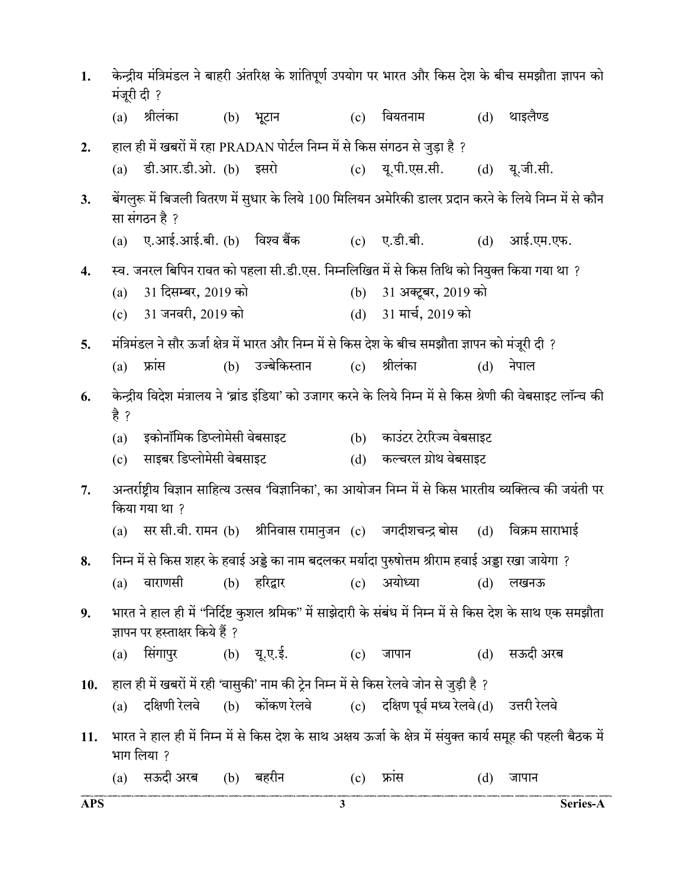| 1.         | मंजूरी दी ? |                                |                                                                             |     |                                                                                                      |     | केन्द्रीय मंत्रिमंडल ने बाहरी अंतरिक्ष के शांतिपूर्ण उपयोग पर भारत और किस देश के बीच समझौता ज्ञापन को         |
|------------|-------------|--------------------------------|-----------------------------------------------------------------------------|-----|------------------------------------------------------------------------------------------------------|-----|---------------------------------------------------------------------------------------------------------------|
|            | (a)         | श्रीलंका                       | (b) भूटान                                                                   | (c) | वियतनाम                                                                                              | (d) | थाइलैण्ड                                                                                                      |
| 2.         |             |                                | हाल ही में खबरों में रहा PRADAN पोर्टल निम्न में से किस संगठन से जुड़ा है ? |     |                                                                                                      |     |                                                                                                               |
|            |             | (a) डी.आर.डी.ओ. (b) इसरो       |                                                                             |     | (c) यू.पी.एस.सी.                                                                                     |     | (d) यू.जी.सी.                                                                                                 |
| 3.         |             | सा संगठन है ?                  |                                                                             |     |                                                                                                      |     | बेंगलुरू में बिजली वितरण में सुधार के लिये 100 मिलियन अमेरिकी डालर प्रदान करने के लिये निम्न में से कौन       |
|            |             |                                | (a) ए.आई.आई.बी. (b) विश्व बैंक           (c) ए.डी.बी.                       |     |                                                                                                      | (d) | आई.एम.एफ.                                                                                                     |
| 4.         |             |                                |                                                                             |     | स्व. जनरल बिपिन रावत को पहला सी.डी.एस. निम्नलिखित में से किस तिथि को नियुक्त किया गया था ?           |     |                                                                                                               |
|            | (a)         | 31 दिसम्बर, 2019 को            |                                                                             | (b) | 31 अक्टूबर, 2019 को                                                                                  |     |                                                                                                               |
|            |             | (c) 31 जनवरी, 2019 को          |                                                                             |     | (d) 31 मार्च, 2019 को                                                                                |     |                                                                                                               |
| 5.         |             |                                |                                                                             |     | : मंत्रिमंडल ने सौर ऊर्जा क्षेत्र में भारत और निम्न में से किस देश के बीच समझौता ज्ञापन को मंजूरी दी |     |                                                                                                               |
|            | (a)         | फ्रांस                         | (b) उज्बेकिस्तान                                                            | (c) | श्रीलंका                                                                                             | (d) | नेपाल                                                                                                         |
| 6.         |             |                                |                                                                             |     |                                                                                                      |     | केन्द्रीय विदेश मंत्रालय ने 'ब्रांड इंडिया' को उजागर करने के लिये निम्न में से किस श्रेणी की वेबसाइट लॉन्च की |
|            | है ?        |                                |                                                                             |     |                                                                                                      |     |                                                                                                               |
|            | (a)         | इकोनॉमिक डिप्लोमेसी वेबसाइट    |                                                                             |     | (b) काउंटर टेररिज्म वेबसाइट                                                                          |     |                                                                                                               |
|            | (c)         | साइबर डिप्लोमेसी वेबसाइट       |                                                                             | (d) | कल्चरल ग्रोथ वेबसाइट                                                                                 |     |                                                                                                               |
| 7.         |             | किया गया था ?                  |                                                                             |     |                                                                                                      |     | अन्तर्राष्ट्रीय विज्ञान साहित्य उत्सव 'विज्ञानिका', का आयोजन निम्न में से किस भारतीय व्यक्तित्व की जयंती पर   |
|            | (a)         |                                |                                                                             |     | सर सी.वी. रामन (b) श्रीनिवास रामानुजन (c)  जगदीशचन्द्र बोस  (d) ।                                    |     | विक्रम साराभाई                                                                                                |
| 8.         |             |                                |                                                                             |     | निम्न में से किस शहर के हवाई अड्डे का नाम बदलकर मर्यादा पुरुषोत्तम श्रीराम हवाई अड्डा रखा जायेगा ?   |     |                                                                                                               |
|            | (a)         | वाराणसी                        | (b) हरिद्वार       (c) अयोध्या                                              |     |                                                                                                      | (d) | लखनऊ                                                                                                          |
| 9.         |             |                                |                                                                             |     |                                                                                                      |     | भारत ने हाल ही में ''निर्दिष्ट कुशल श्रमिक'' में साझेदारी के संबंध में निम्न में से किस देश के साथ एक समझौता  |
|            |             | ज्ञापन पर हस्ताक्षर किये हैं ? |                                                                             |     |                                                                                                      |     |                                                                                                               |
|            | (a)         | सिंगापुर                       | (b) यू.ए.ई.                                                                 |     | (c) जापान                                                                                            |     | (d) सऊदी अरब                                                                                                  |
| 10.        |             |                                |                                                                             |     | हाल ही में खबरों में रही 'वासुकी' नाम की ट्रेन निम्न में से किस रेलवे जोन से जुड़ी है ?              |     |                                                                                                               |
|            | (a)         | दक्षिणी रेलवे                  |                                                                             |     | (b) कोंकण रेलवे          (c)     दक्षिण पूर्व मध्य रेलवे (d)     उत्तरी रेलवे                        |     |                                                                                                               |
| 11.        |             | भाग लिया ?                     |                                                                             |     |                                                                                                      |     | भारत ने हाल ही में निम्न में से किस देश के साथ अक्षय ऊर्जा के क्षेत्र में संयुक्त कार्य समूह की पहली बैठक में |
|            | (a)         | सऊदी अरब      (b)    बहरीन     |                                                                             | (c) | फ्रास                                                                                                | (d) | जापान                                                                                                         |
| <b>APS</b> |             |                                | 3                                                                           |     |                                                                                                      |     | Series-A                                                                                                      |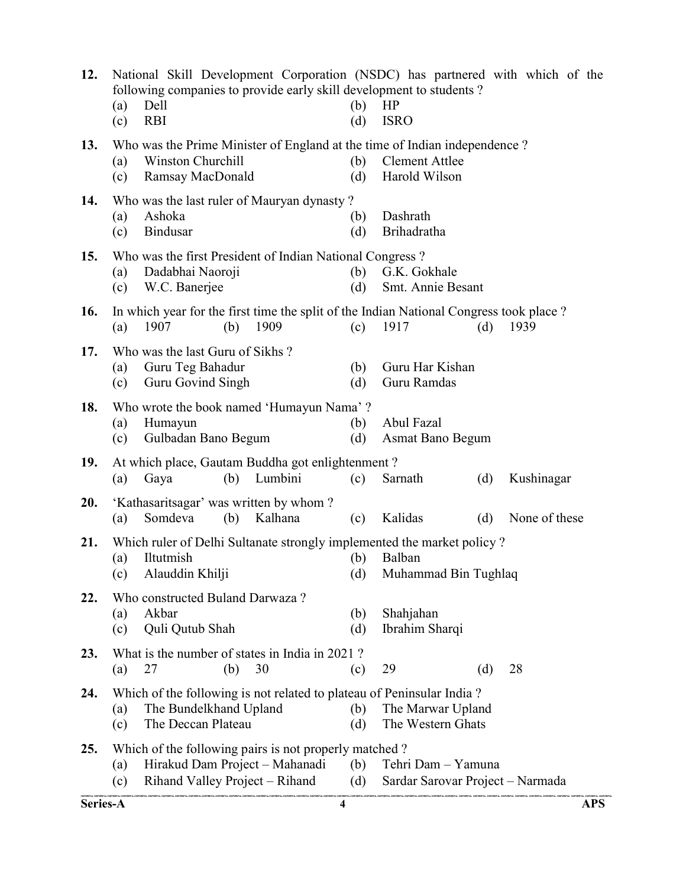| Series-A |                                                                                                                                          |                                                                                                                           |     |         | 4 |            |                                                                                                                                                                           |     |               | <b>APS</b> |
|----------|------------------------------------------------------------------------------------------------------------------------------------------|---------------------------------------------------------------------------------------------------------------------------|-----|---------|---|------------|---------------------------------------------------------------------------------------------------------------------------------------------------------------------------|-----|---------------|------------|
| 25.      | (a)<br>(c)                                                                                                                               | Which of the following pairs is not properly matched?<br>Hirakud Dam Project - Mahanadi<br>Rihand Valley Project – Rihand |     |         |   | (b)<br>(d) | Tehri Dam - Yamuna<br>Sardar Sarovar Project - Narmada                                                                                                                    |     |               |            |
| 24.      | (a)<br>(c)                                                                                                                               | The Bundelkhand Upland<br>The Deccan Plateau                                                                              |     |         |   | (b)<br>(d) | Which of the following is not related to plateau of Peninsular India?<br>The Marwar Upland<br>The Western Ghats                                                           |     |               |            |
| 23.      | (a)                                                                                                                                      | What is the number of states in India in 2021?<br>27                                                                      | (b) | 30      |   | (c)        | 29                                                                                                                                                                        | (d) | 28            |            |
| 22.      | (a)<br>(c)                                                                                                                               | Who constructed Buland Darwaza?<br>Akbar<br>Quli Qutub Shah                                                               |     |         |   | (b)<br>(d) | Shahjahan<br>Ibrahim Sharqi                                                                                                                                               |     |               |            |
| 21.      | (a)<br>(c)                                                                                                                               | Iltutmish<br>Alauddin Khilji                                                                                              |     |         |   | (b)<br>(d) | Which ruler of Delhi Sultanate strongly implemented the market policy?<br>Balban<br>Muhammad Bin Tughlaq                                                                  |     |               |            |
| 20.      | (a)                                                                                                                                      | 'Kathasaritsagar' was written by whom?<br>Somdeva                                                                         | (b) | Kalhana |   | (c)        | Kalidas                                                                                                                                                                   | (d) | None of these |            |
| 19.      | (a)                                                                                                                                      | At which place, Gautam Buddha got enlightenment?<br>Gaya                                                                  | (b) | Lumbini |   | (c)        | Sarnath                                                                                                                                                                   | (d) | Kushinagar    |            |
| 18.      | Who wrote the book named 'Humayun Nama'?<br>Abul Fazal<br>(a)<br>Humayun<br>(b)<br>Gulbadan Bano Begum<br>Asmat Bano Begum<br>(c)<br>(d) |                                                                                                                           |     |         |   |            |                                                                                                                                                                           |     |               |            |
| 17.      | (a)<br>(c)                                                                                                                               | Who was the last Guru of Sikhs?<br>Guru Teg Bahadur<br>Guru Govind Singh                                                  |     |         |   | (b)<br>(d) | Guru Har Kishan<br>Guru Ramdas                                                                                                                                            |     |               |            |
| 16.      | (a)                                                                                                                                      | 1907                                                                                                                      | (b) | 1909    |   | (c)        | In which year for the first time the split of the Indian National Congress took place?<br>1917                                                                            | (d) | 1939          |            |
| 15.      | (a)<br>(c)                                                                                                                               | Who was the first President of Indian National Congress?<br>Dadabhai Naoroji<br>W.C. Banerjee                             |     |         |   | (b)<br>(d) | G.K. Gokhale<br>Smt. Annie Besant                                                                                                                                         |     |               |            |
| 14.      | (a)<br>(c)                                                                                                                               | Who was the last ruler of Mauryan dynasty?<br>Ashoka<br><b>Bindusar</b>                                                   |     |         |   | (b)<br>(d) | Dashrath<br>Brihadratha                                                                                                                                                   |     |               |            |
| 13.      | (a)<br>(c)                                                                                                                               | Winston Churchill<br>Ramsay MacDonald                                                                                     |     |         |   | (b)<br>(d) | Who was the Prime Minister of England at the time of Indian independence?<br><b>Clement Attlee</b><br>Harold Wilson                                                       |     |               |            |
| 12.      | (a)<br>(c)                                                                                                                               | Dell<br><b>RBI</b>                                                                                                        |     |         |   | (b)<br>(d) | National Skill Development Corporation (NSDC) has partnered with which of the<br>following companies to provide early skill development to students?<br>HP<br><b>ISRO</b> |     |               |            |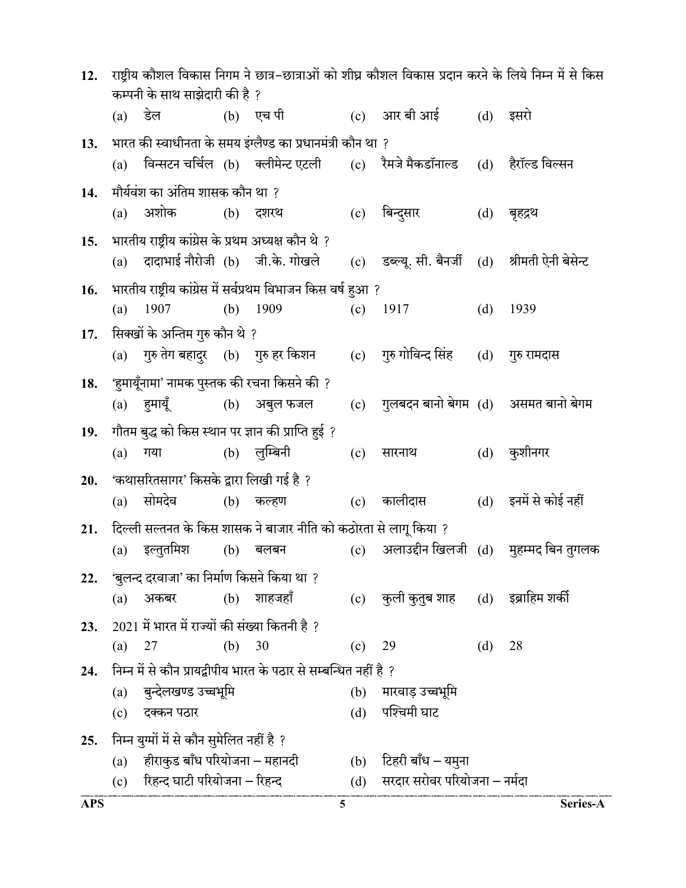| 12.        | राष्ट्रीय कौशल विकास निगम ने छात्र–छात्राओं को शीघ्र कौशल विकास प्रदान करने के लिये निम्न में से किस<br>कम्पनी के साथ साझेदारी की है ? |                                                                              |     |                                                                   |     |                                                                                      |          |                                           |
|------------|----------------------------------------------------------------------------------------------------------------------------------------|------------------------------------------------------------------------------|-----|-------------------------------------------------------------------|-----|--------------------------------------------------------------------------------------|----------|-------------------------------------------|
|            | $(a)$ डेल                                                                                                                              |                                                                              |     | (b) एच पी                                                         |     | (c) आर बी आई                                                                         | (d) इसरो |                                           |
| 13.        |                                                                                                                                        |                                                                              |     | भारत की स्वाधीनता के समय इंग्लैण्ड का प्रधानमंत्री कौन था ?       |     |                                                                                      |          |                                           |
|            | (a)                                                                                                                                    |                                                                              |     |                                                                   |     | विन्सटन चर्चिल (b) क्लीमेन्ट एटली    (c)   रैमजे मैकडॉनाल्ड    (d)    हैरॉल्ड विल्सन |          |                                           |
| 14.        |                                                                                                                                        | मौर्यवंश का अंतिम शासक कौन था ?                                              |     |                                                                   |     |                                                                                      |          |                                           |
|            |                                                                                                                                        | (a) अशोक (b) दशरथ                                                            |     |                                                                   |     | (c) बिन्दुसार                                                                        |          | (d) बृहद्रथ                               |
| 15.        |                                                                                                                                        | भारतीय राष्ट्रीय कांग्रेस के प्रथम अध्यक्ष कौन थे ?                          |     |                                                                   |     |                                                                                      |          |                                           |
|            | (a)                                                                                                                                    | दादाभाई नौरोजी (b) जी.के. गोखले                                              |     |                                                                   | (c) | डब्ल्यू. सी. बैनर्जी                                                                 |          | (d) श्रीमती ऐनी बेसेन्ट                   |
| 16.        |                                                                                                                                        |                                                                              |     | भारतीय राष्ट्रीय कांग्रेस में सर्वप्रथम विभाजन किस वर्ष हुआ ?     |     |                                                                                      |          |                                           |
|            | (a)                                                                                                                                    | 1907                                                                         | (b) | 1909                                                              | (c) | 1917                                                                                 | (d)      | 1939                                      |
| 17.        |                                                                                                                                        | सिक्खों के अन्तिम गुरु कौन थे ?                                              |     |                                                                   |     |                                                                                      |          |                                           |
|            |                                                                                                                                        | (a) गुरु तेग बहादुर (b) गुरु हर किशन                                         |     |                                                                   |     | (c) गुरु गोविन्द सिंह                                                                |          | (d) गुरु रामदास                           |
| 18.        |                                                                                                                                        |                                                                              |     | 'हुमायूँनामा' नामक पुस्तक की रचना किसने की ?                      |     |                                                                                      |          |                                           |
|            |                                                                                                                                        | (a) हुमायूँ               (b)    अबुल फजल                                    |     |                                                                   | (c) | गुलबदन बानो बेगम (d)   असमत बानो बेगम                                                |          |                                           |
| 19.        |                                                                                                                                        |                                                                              |     | गौतम बुद्ध को किस स्थान पर ज्ञान की प्राप्ति हुई ?                |     |                                                                                      |          |                                           |
|            | (a)                                                                                                                                    | गया                                                                          |     | (b) लुम्बिनी                                                      | (c) | सारनाथ                                                                               |          | (d) कुशीनगर                               |
| 20.        |                                                                                                                                        | 'कथासरितसागर' किसके द्वारा लिखी गई है ?                                      |     |                                                                   |     |                                                                                      |          |                                           |
|            | (a)                                                                                                                                    | सोमदेव                                                                       |     | (b) कल्हण                                                         |     | (c) कालीदास                                                                          |          | (d) इनमें से कोई नहीं                     |
| 21.        |                                                                                                                                        |                                                                              |     | दिल्ली सल्तनत के किस शासक ने बाजार नीति को कठोरता से लागू किया ?  |     |                                                                                      |          |                                           |
|            | (a)                                                                                                                                    | इल्तुतमिश                                                                    | (b) | बलबन                                                              |     |                                                                                      |          | (c) अलाउद्दीन खिलजी (d) मुहम्मद बिन तुगलक |
| 22.        |                                                                                                                                        | 'बुलन्द दरवाजा' का निर्माण किसने किया था ?                                   |     |                                                                   |     |                                                                                      |          |                                           |
|            | (a)                                                                                                                                    | अकबर                                                                         |     | (b) शाहजहाँ                                                       |     | (c) कुली कुतुब शाह      (d)     इब्राहिम शर्की                                       |          |                                           |
| 23.        |                                                                                                                                        | $2021$ में भारत में राज्यों की संख्या कितनी है ?                             |     |                                                                   |     |                                                                                      |          |                                           |
|            | (a)                                                                                                                                    | 27                                                                           | (b) | 30                                                                | (c) | 29                                                                                   | (d)      | 28                                        |
| 24.        |                                                                                                                                        | बुन्देलखण्ड उच्चभूमि                                                         |     | निम्न में से कौन प्रायद्वीपीय भारत के पठार से सम्बन्धित नहीं है ? |     |                                                                                      |          |                                           |
|            | (a)<br>(c)                                                                                                                             | दक्कन पठार                                                                   |     |                                                                   |     | (b) मारवाड़ उच्चभूमि<br>(d) पश्चिमी घाट                                              |          |                                           |
|            |                                                                                                                                        |                                                                              |     |                                                                   |     |                                                                                      |          |                                           |
| 25.        | (a)                                                                                                                                    | निम्न युग्मों में से कौन सुमेलित नहीं है ?<br>हीराकुड बाँध परियोजना – महानदी |     |                                                                   |     | (b) टिहरी बाँध – यमुना                                                               |          |                                           |
|            |                                                                                                                                        | (c) रिहन्द घाटी परियोजना - रिहन्द                                            |     |                                                                   |     | (d) सरदार सरोवर परियोजना – नर्मदा                                                    |          |                                           |
| <b>APS</b> |                                                                                                                                        |                                                                              |     | 5                                                                 |     |                                                                                      |          | Series-A                                  |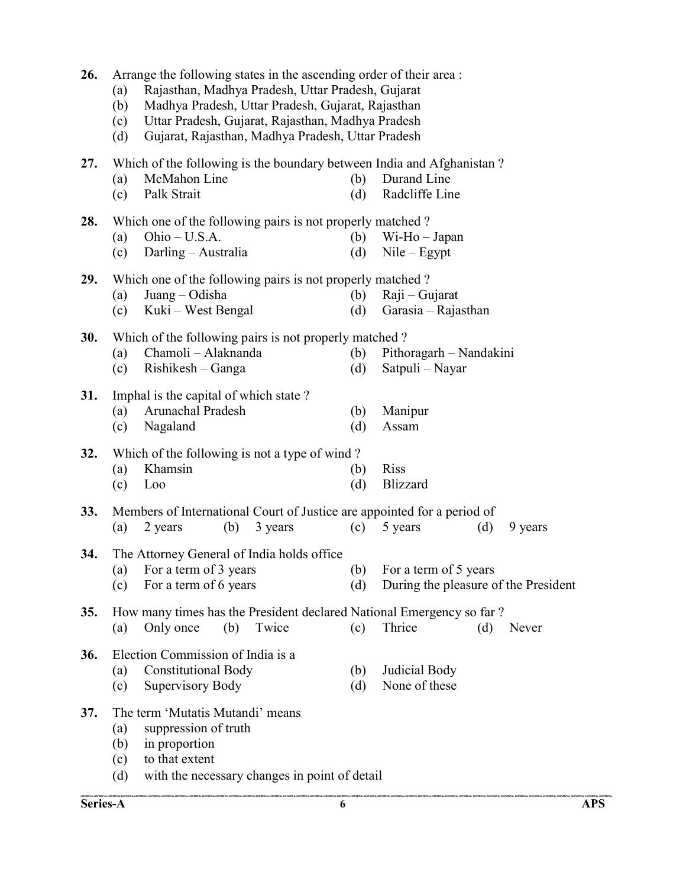| 26.        | (a)<br>(b)<br>(c)<br>(d)                                                                                                                                                 | Arrange the following states in the ascending order of their area :<br>Rajasthan, Madhya Pradesh, Uttar Pradesh, Gujarat<br>Madhya Pradesh, Uttar Pradesh, Gujarat, Rajasthan<br>Uttar Pradesh, Gujarat, Rajasthan, Madhya Pradesh<br>Gujarat, Rajasthan, Madhya Pradesh, Uttar Pradesh |     |         |            |                                                                                                        |     |         |  |  |  |  |  |
|------------|--------------------------------------------------------------------------------------------------------------------------------------------------------------------------|-----------------------------------------------------------------------------------------------------------------------------------------------------------------------------------------------------------------------------------------------------------------------------------------|-----|---------|------------|--------------------------------------------------------------------------------------------------------|-----|---------|--|--|--|--|--|
| 27.        | (a)<br>(c)                                                                                                                                                               | McMahon Line<br>Palk Strait                                                                                                                                                                                                                                                             |     |         | (b)<br>(d) | Which of the following is the boundary between India and Afghanistan?<br>Durand Line<br>Radcliffe Line |     |         |  |  |  |  |  |
| 28.        | (a)<br>(c)                                                                                                                                                               | Which one of the following pairs is not properly matched?<br>Ohio - U.S.A.<br>Darling - Australia                                                                                                                                                                                       |     |         | (b)<br>(d) | $Wi-Ho-Japan$<br>$Nile - Egypt$                                                                        |     |         |  |  |  |  |  |
| 29.        | (a)<br>(c)                                                                                                                                                               | Which one of the following pairs is not properly matched?<br>Juang – Odisha<br>(b)<br>$Raji - Gujarat$<br>Kuki – West Bengal<br>(d)<br>Garasia – Rajasthan                                                                                                                              |     |         |            |                                                                                                        |     |         |  |  |  |  |  |
| 30.        | (a)<br>(c)                                                                                                                                                               | Which of the following pairs is not properly matched?<br>Chamoli - Alaknanda<br>Pithoragarh – Nandakini<br>(b)<br>Rishikesh – Ganga<br>Satpuli – Nayar<br>(d)                                                                                                                           |     |         |            |                                                                                                        |     |         |  |  |  |  |  |
| 31.        | (a)<br>(c)                                                                                                                                                               | Imphal is the capital of which state?<br>Arunachal Pradesh<br>Manipur<br>(b)<br>Nagaland<br>(d)<br>Assam                                                                                                                                                                                |     |         |            |                                                                                                        |     |         |  |  |  |  |  |
| 32.        | (a)<br>(c)                                                                                                                                                               | Which of the following is not a type of wind?<br>Khamsin<br>Loo                                                                                                                                                                                                                         |     |         | (b)<br>(d) | <b>Riss</b><br><b>Blizzard</b>                                                                         |     |         |  |  |  |  |  |
| 33.        | (a)                                                                                                                                                                      | 2 years                                                                                                                                                                                                                                                                                 | (b) | 3 years | (c)        | Members of International Court of Justice are appointed for a period of<br>5 years                     | (d) | 9 years |  |  |  |  |  |
| 34.        | (c)                                                                                                                                                                      | The Attorney General of India holds office<br>(a) For a term of 3 years<br>For a term of 6 years                                                                                                                                                                                        |     |         | (d)        | (b) For a term of 5 years<br>During the pleasure of the President                                      |     |         |  |  |  |  |  |
| <b>35.</b> | (a)                                                                                                                                                                      | Only once                                                                                                                                                                                                                                                                               | (b) | Twice   | (c)        | How many times has the President declared National Emergency so far?<br>Thrice                         | (d) | Never   |  |  |  |  |  |
| 36.        | Election Commission of India is a<br><b>Constitutional Body</b><br>Judicial Body<br>(b)<br>(a)<br>None of these<br>Supervisory Body<br>(c)<br>(d)                        |                                                                                                                                                                                                                                                                                         |     |         |            |                                                                                                        |     |         |  |  |  |  |  |
| 37.        | The term 'Mutatis Mutandi' means<br>suppression of truth<br>(a)<br>in proportion<br>(b)<br>to that extent<br>(c)<br>with the necessary changes in point of detail<br>(d) |                                                                                                                                                                                                                                                                                         |     |         |            |                                                                                                        |     |         |  |  |  |  |  |

.<br>Contrastiui contrastiui contrastiui contrastiui contrastiui contrastiui con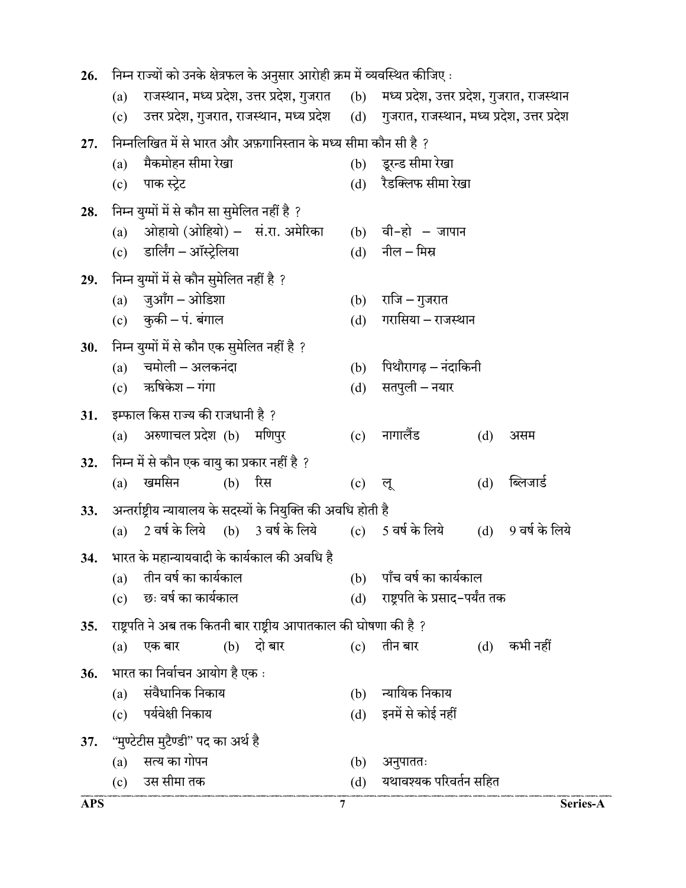| 26.        | निम्न राज्यों को उनके क्षेत्रफल के अनुसार आरोही क्रम में व्यवस्थित कीजिए : |                                               |     |                                                                                |     |                                                                                             |     |                |  |  |  |  |
|------------|----------------------------------------------------------------------------|-----------------------------------------------|-----|--------------------------------------------------------------------------------|-----|---------------------------------------------------------------------------------------------|-----|----------------|--|--|--|--|
|            | (a)                                                                        |                                               |     |                                                                                |     | राजस्थान, मध्य प्रदेश, उत्तर प्रदेश, गुजरात (b) मध्य प्रदेश, उत्तर प्रदेश, गुजरात, राजस्थान |     |                |  |  |  |  |
|            | (c)                                                                        |                                               |     |                                                                                |     | उत्तर प्रदेश, गुजरात, राजस्थान, मध्य प्रदेश (d) गुजरात, राजस्थान, मध्य प्रदेश, उत्तर प्रदेश |     |                |  |  |  |  |
| 27.        |                                                                            |                                               |     | निम्नलिखित में से भारत और अफ़गानिस्तान के मध्य सीमा कौन सी है ?                |     |                                                                                             |     |                |  |  |  |  |
|            | (a)                                                                        | मैकमोहन सीमा रेखा                             |     |                                                                                | (b) | डूरन्ड सीमा रेखा                                                                            |     |                |  |  |  |  |
|            |                                                                            | (c) पाक स्ट्रेट                               |     |                                                                                |     | (d) रैडक्लिफ सीमा रेखा                                                                      |     |                |  |  |  |  |
| 28.        |                                                                            | निम्न युग्मों में से कौन सा सुमेलित नहीं है ? |     |                                                                                |     |                                                                                             |     |                |  |  |  |  |
|            | (a)                                                                        |                                               |     | ओहायो (ओहियो) – सं.रा. अमेरिका                                                 |     | $(b)$ वी-हो – जापान                                                                         |     |                |  |  |  |  |
|            |                                                                            | (c) डार्लिंग – ऑस्ट्रेलिया                    |     |                                                                                |     | $(d)$ नील – मिस्र                                                                           |     |                |  |  |  |  |
| 29.        |                                                                            | निम्न युग्मों में से कौन सुमेलित नहीं है ?    |     |                                                                                |     |                                                                                             |     |                |  |  |  |  |
|            |                                                                            | (a) जुआँग – ओडिशा                             |     |                                                                                |     | (b) राजि – गुजरात                                                                           |     |                |  |  |  |  |
|            |                                                                            | (c) कुकी – पं. बंगाल                          |     |                                                                                | (d) | गरासिया – राजस्थान                                                                          |     |                |  |  |  |  |
| 30.        |                                                                            | निम्न युग्मों में से कौन एक सुमेलित नहीं है ? |     |                                                                                |     |                                                                                             |     |                |  |  |  |  |
|            | (a)                                                                        | चमोली – अलकनंदा                               |     |                                                                                | (b) | पिथौरागढ़ – नंदाकिनी                                                                        |     |                |  |  |  |  |
|            |                                                                            | $(c)$ ऋषिकेश – गंगा                           |     |                                                                                | (d) | सतपुली – नयार                                                                               |     |                |  |  |  |  |
| 31.        |                                                                            | इम्फाल किस राज्य की राजधानी है ?              |     |                                                                                |     |                                                                                             |     |                |  |  |  |  |
|            | (a)                                                                        | अरुणाचल प्रदेश (b) मणिपुर                     |     |                                                                                | (c) | नागालैंड                                                                                    | (d) | असम            |  |  |  |  |
| 32.        |                                                                            | निम्न में से कौन एक वायु का प्रकार नहीं है ?  |     |                                                                                |     |                                                                                             |     |                |  |  |  |  |
|            | (a)                                                                        | खमसिन                                         | (b) | रिस                                                                            | (c) | लू                                                                                          | (d) | ब्लिजार्ड      |  |  |  |  |
| 33.        |                                                                            |                                               |     | अन्तर्राष्ट्रीय न्यायालय के सदस्यों के नियुक्ति की अवधि होती है                |     |                                                                                             |     |                |  |  |  |  |
|            | (a)                                                                        | 2 वर्ष के लिये (b) 3 वर्ष के लिये             |     |                                                                                |     | (c) $5$ वर्ष के लिये                                                                        | (d) | 9 वर्ष के लिये |  |  |  |  |
|            |                                                                            |                                               |     |                                                                                |     |                                                                                             |     |                |  |  |  |  |
|            | (a)                                                                        | तीन वर्ष का कार्यकाल                          |     | 34. भारत के महान्यायवादी के कार्यकाल की अवधि है                                | (b) |                                                                                             |     |                |  |  |  |  |
|            | (c)                                                                        | छः वर्ष का कार्यकाल                           |     |                                                                                | (d) | पाँच वर्ष का कार्यकाल<br>राष्ट्रपति के प्रसाद-पर्यंत तक                                     |     |                |  |  |  |  |
|            |                                                                            |                                               |     |                                                                                |     |                                                                                             |     |                |  |  |  |  |
| 35.        |                                                                            | एक बार                                        |     | राष्ट्रपति ने अब तक कितनी बार राष्ट्रीय आपातकाल की घोषणा की है ?<br>(b) दो बार | (c) | तीन बार                                                                                     |     | कभी नहीं       |  |  |  |  |
|            | (a)                                                                        |                                               |     |                                                                                |     |                                                                                             | (d) |                |  |  |  |  |
| 36.        |                                                                            | भारत का निर्वाचन आयोग है एक :                 |     |                                                                                |     |                                                                                             |     |                |  |  |  |  |
|            | (a)                                                                        | संवैधानिक निकाय                               |     |                                                                                | (b) | न्यायिक निकाय<br>इनमें से कोई नहीं                                                          |     |                |  |  |  |  |
|            | (c)                                                                        | पर्यवेक्षी निकाय                              |     |                                                                                | (d) |                                                                                             |     |                |  |  |  |  |
| 37.        |                                                                            | ''मुण्टेटीस मुटैण्डी'' पद का अर्थ है          |     |                                                                                |     |                                                                                             |     |                |  |  |  |  |
|            | (a)                                                                        | सत्य का गोपन                                  |     |                                                                                | (b) | अनुपाततः                                                                                    |     |                |  |  |  |  |
|            |                                                                            | (c) उस सीमा तक                                |     |                                                                                |     | (d) यथावश्यक परिवर्तन सहित                                                                  |     |                |  |  |  |  |
| <b>APS</b> |                                                                            |                                               |     |                                                                                | 7   |                                                                                             |     | Series-A       |  |  |  |  |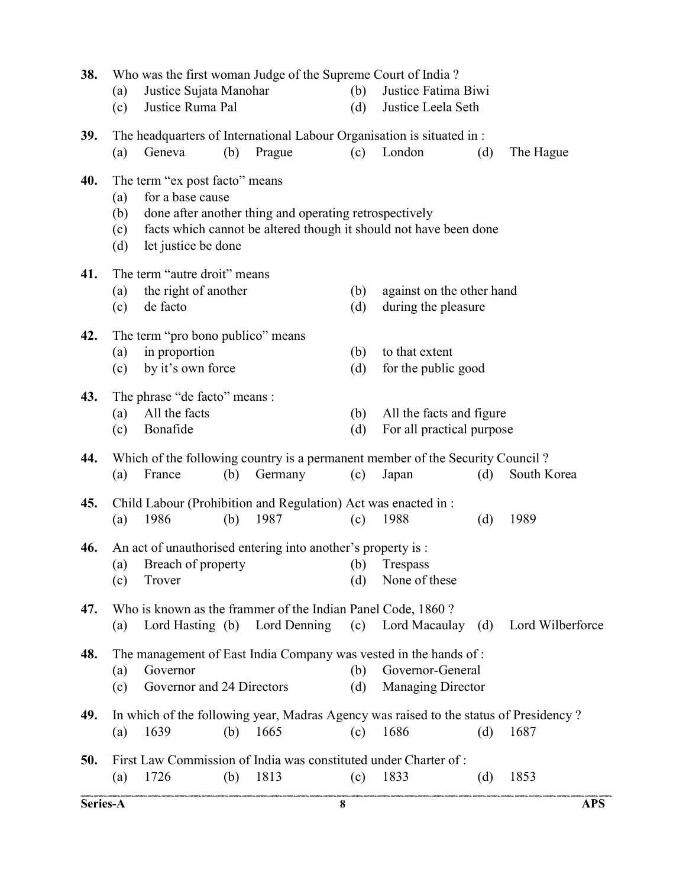| 38.      | (a)<br>(c)               | Justice Sujata Manohar<br>Justice Ruma Pal                                |     | Who was the first woman Judge of the Supreme Court of India?                                        | (b)<br>(d) | Justice Fatima Biwi<br>Justice Leela Seth                                                                        |     |                                                                      |  |
|----------|--------------------------|---------------------------------------------------------------------------|-----|-----------------------------------------------------------------------------------------------------|------------|------------------------------------------------------------------------------------------------------------------|-----|----------------------------------------------------------------------|--|
| 39.      | (a)                      | Geneva                                                                    | (b) | Prague                                                                                              | (c)        | The headquarters of International Labour Organisation is situated in :<br>London                                 | (d) | The Hague                                                            |  |
| 40.      | (a)<br>(b)<br>(c)<br>(d) | The term "ex post facto" means<br>for a base cause<br>let justice be done |     | done after another thing and operating retrospectively                                              |            | facts which cannot be altered though it should not have been done                                                |     |                                                                      |  |
| 41.      | (a)<br>(c)               | The term "autre droit" means<br>the right of another<br>de facto          |     |                                                                                                     | (b)<br>(d) | against on the other hand<br>during the pleasure                                                                 |     |                                                                      |  |
| 42.      | (a)<br>(c)               | The term "pro bono publico" means<br>in proportion<br>by it's own force   |     |                                                                                                     | (b)<br>(d) | to that extent<br>for the public good                                                                            |     |                                                                      |  |
| 43.      | (a)<br>(c)               | The phrase "de facto" means :<br>All the facts<br>Bonafide                |     |                                                                                                     | (b)<br>(d) | All the facts and figure<br>For all practical purpose                                                            |     |                                                                      |  |
| 44.      | (a)                      | France                                                                    | (b) | Germany                                                                                             | (c)        | Which of the following country is a permanent member of the Security Council?<br>Japan                           | (d) | South Korea                                                          |  |
| 45.      | (a)                      | 1986                                                                      | (b) | Child Labour (Prohibition and Regulation) Act was enacted in :<br>1987                              | (c)        | 1988                                                                                                             | (d) | 1989                                                                 |  |
| 46.      | (c)                      | Trover                                                                    |     | An act of unauthorised entering into another's property is :<br>(a) Breach of property (b) Trespass | (d)        | None of these                                                                                                    |     |                                                                      |  |
| 47.      | (a)                      |                                                                           |     | Who is known as the frammer of the Indian Panel Code, 1860?                                         |            |                                                                                                                  |     | Lord Hasting (b) Lord Denning (c) Lord Macaulay (d) Lord Wilberforce |  |
| 48.      | (a)<br>(c)               | Governor<br>Governor and 24 Directors                                     |     |                                                                                                     | (b)<br>(d) | The management of East India Company was vested in the hands of:<br>Governor-General<br><b>Managing Director</b> |     |                                                                      |  |
| 49.      | (a)                      | 1639                                                                      | (b) | 1665                                                                                                | (c)        | In which of the following year, Madras Agency was raised to the status of Presidency?<br>1686                    | (d) | 1687                                                                 |  |
| 50.      | (a)                      | 1726                                                                      | (b) | 1813                                                                                                | (c)        | First Law Commission of India was constituted under Charter of:<br>1833                                          | (d) | 1853                                                                 |  |
| Series-A |                          |                                                                           |     |                                                                                                     | 8          |                                                                                                                  |     | <b>APS</b>                                                           |  |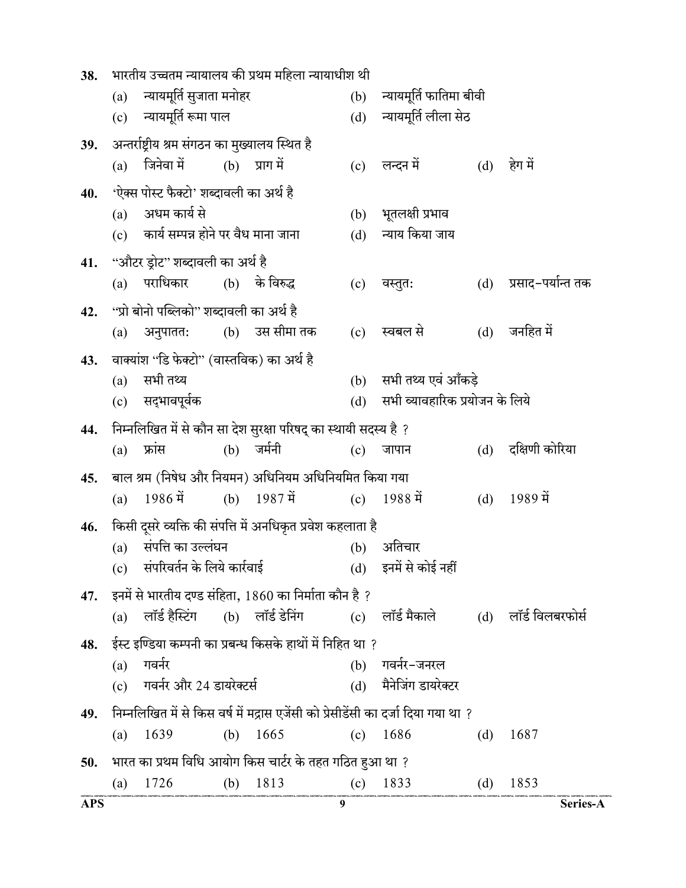| 9                                                                       |                                                                                    |     | Series-A                                           |
|-------------------------------------------------------------------------|------------------------------------------------------------------------------------|-----|----------------------------------------------------|
| (c) $1833$                                                              |                                                                                    | (d) | 1853                                               |
| भारत का प्रथम विधि आयोग किस चार्टर के तहत गठित हुआ था ?                 |                                                                                    |     |                                                    |
| (b) $1665$                                                              | $(c)$ 1686                                                                         | (d) | 1687                                               |
|                                                                         | निम्नलिखित में से किस वर्ष में मद्रास एजेंसी को प्रेसीडेंसी का दर्जा दिया गया था ? |     |                                                    |
|                                                                         | (d) मैनेजिंग डायरेक्टर                                                             |     |                                                    |
| (b)                                                                     | गवर्नर-जनरल                                                                        |     |                                                    |
| ईस्ट इण्डिया कम्पनी का प्रबन्ध किसके हाथों में निहित था ?               |                                                                                    |     |                                                    |
| इनमें से भारतीय दण्ड संहिता, 1860 का निर्माता कौन है ?                  | (b) लॉर्ड डेनिंग            (c)    लॉर्ड मैकाले                                    |     | (d) लॉर्ड विलबरफोर्स                               |
|                                                                         | (d) इनमें से कोई नहीं                                                              |     |                                                    |
| (b)                                                                     | अतिचार                                                                             |     |                                                    |
| किसी दूसरे व्यक्ति की संपत्ति में अनधिकृत प्रवेश कहलाता है              |                                                                                    |     |                                                    |
| (b) $1987 \hat{q}$                                                      | (c) $1988 \text{ } \vec{4}$                                                        | (d) | $1989 \hat{q}$                                     |
| बाल श्रम (निषेध और नियमन) अधिनियम अधिनियमित किया गया                    |                                                                                    |     |                                                    |
| निम्नलिखित में से कौन सा देश सुरक्षा परिषद् का स्थायी सदस्य है ?<br>(c) | जापान                                                                              | (d) | दक्षिणी कोरिया                                     |
|                                                                         |                                                                                    |     |                                                    |
| (b)<br>(d)                                                              | सभी तथ्य एवं आँकड़े<br>सभी व्यावहारिक प्रयोजन के लिये                              |     |                                                    |
| वाक्यांश ''डि फेक्टो'' (वास्तविक) का अर्थ है                            |                                                                                    |     |                                                    |
| (b) उस सीमा तक<br>(c)                                                   | स्वबल से                                                                           | (d) | जनहित में                                          |
| ''प्रो बोनो पब्लिको'' शब्दावली का अर्थ है                               |                                                                                    |     |                                                    |
| (b) के विरुद्ध<br>(c)                                                   | वस्तुत:                                                                            | (d) | प्रसाद-पर्यान्त तक                                 |
|                                                                         |                                                                                    |     |                                                    |
| (c) कार्य सम्पन्न होने पर वैध माना जाना<br>(d)                          | न्याय किया जाय                                                                     |     |                                                    |
| (b)                                                                     | भूतलक्षी प्रभाव                                                                    |     |                                                    |
| 'ऐक्स पोस्ट फैक्टो' शब्दावली का अर्थ है                                 |                                                                                    |     |                                                    |
| (c)                                                                     | लन्दन में                                                                          | (d) | हेग में                                            |
| अन्तर्राष्ट्रीय श्रम संगठन का मुख्यालय स्थित है                         |                                                                                    |     |                                                    |
| (b)                                                                     | न्यायमूर्ति फातिमा बीवी<br>(d) न्यायमूर्ति लीला सेठ                                |     |                                                    |
|                                                                         |                                                                                    |     |                                                    |
|                                                                         |                                                                                    |     | भारतीय उच्चतम न्यायालय की प्रथम महिला न्यायाधीश थी |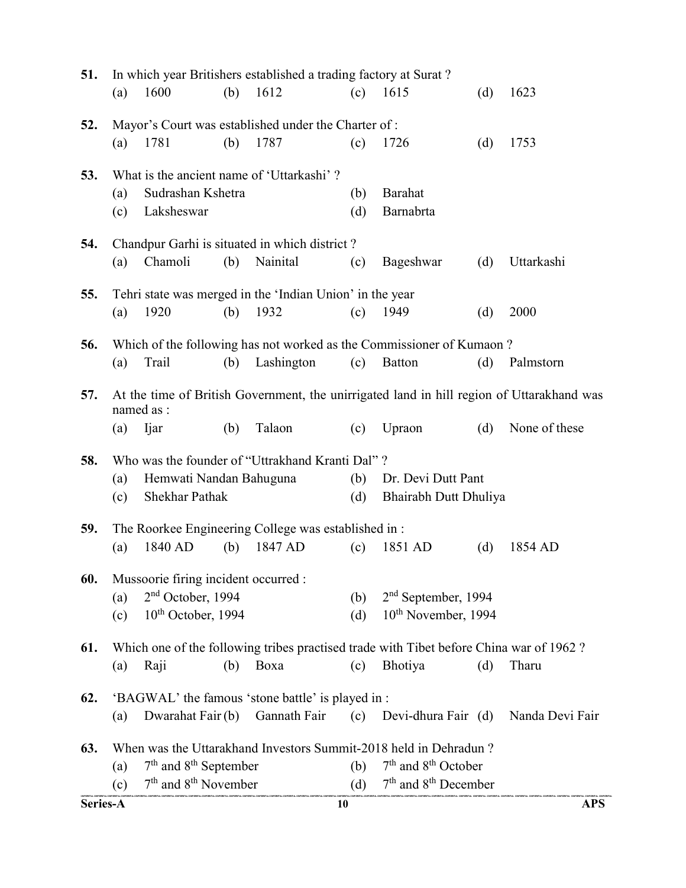| 51.      |            |                                      |     | In which year Britishers established a trading factory at Surat? |            |                                                                                        |     |                                                                                           |
|----------|------------|--------------------------------------|-----|------------------------------------------------------------------|------------|----------------------------------------------------------------------------------------|-----|-------------------------------------------------------------------------------------------|
|          | (a)        | 1600                                 | (b) | 1612                                                             | (c)        | 1615                                                                                   | (d) | 1623                                                                                      |
| 52.      |            |                                      |     | Mayor's Court was established under the Charter of:              |            |                                                                                        |     |                                                                                           |
|          | (a)        | 1781                                 | (b) | 1787                                                             | (c)        | 1726                                                                                   | (d) | 1753                                                                                      |
| 53.      |            |                                      |     | What is the ancient name of 'Uttarkashi'?                        |            |                                                                                        |     |                                                                                           |
|          | (a)<br>(c) | Sudrashan Kshetra<br>Laksheswar      |     |                                                                  | (b)<br>(d) | Barahat<br>Barnabrta                                                                   |     |                                                                                           |
| 54.      |            |                                      |     | Chandpur Garhi is situated in which district?                    |            |                                                                                        |     |                                                                                           |
|          | (a)        | Chamoli                              | (b) | Nainital                                                         | (c)        | Bageshwar                                                                              | (d) | Uttarkashi                                                                                |
| 55.      |            |                                      |     | Tehri state was merged in the 'Indian Union' in the year         |            |                                                                                        |     |                                                                                           |
|          | (a)        | 1920                                 | (b) | 1932                                                             | (c)        | 1949                                                                                   | (d) | 2000                                                                                      |
| 56.      |            |                                      |     |                                                                  |            | Which of the following has not worked as the Commissioner of Kumaon?                   |     |                                                                                           |
|          | (a)        | Trail                                | (b) | Lashington                                                       | (c)        | <b>Batton</b>                                                                          | (d) | Palmstorn                                                                                 |
| 57.      |            | named as :                           |     |                                                                  |            |                                                                                        |     | At the time of British Government, the unirrigated land in hill region of Uttarakhand was |
|          | (a)        | Ijar                                 | (b) | Talaon                                                           | (c)        | Upraon                                                                                 | (d) | None of these                                                                             |
| 58.      |            |                                      |     | Who was the founder of "Uttrakhand Kranti Dal"?                  |            |                                                                                        |     |                                                                                           |
|          | (a)        | Hemwati Nandan Bahuguna              |     |                                                                  | (b)        | Dr. Devi Dutt Pant                                                                     |     |                                                                                           |
|          | (c)        | Shekhar Pathak                       |     |                                                                  | (d)        | Bhairabh Dutt Dhuliya                                                                  |     |                                                                                           |
| 59.      |            |                                      |     | The Roorkee Engineering College was established in:              |            |                                                                                        |     |                                                                                           |
|          | (a)        | 1840 AD                              | (b) | 1847 AD                                                          | (c)        | 1851 AD                                                                                | (d) | 1854 AD                                                                                   |
| 60.      |            | Mussoorie firing incident occurred : |     |                                                                  |            |                                                                                        |     |                                                                                           |
|          | (a)        | 2 <sup>nd</sup> October, 1994        |     |                                                                  | (b)        | $2nd$ September, 1994                                                                  |     |                                                                                           |
|          | (c)        | $10th$ October, 1994                 |     |                                                                  | (d)        | 10 <sup>th</sup> November, 1994                                                        |     |                                                                                           |
| 61.      |            |                                      |     |                                                                  |            | Which one of the following tribes practised trade with Tibet before China war of 1962? |     |                                                                                           |
|          | (a)        | Raji                                 | (b) | Boxa                                                             | (c)        | Bhotiya                                                                                | (d) | Tharu                                                                                     |
| 62.      |            |                                      |     | 'BAGWAL' the famous 'stone battle' is played in :                |            |                                                                                        |     |                                                                                           |
|          | (a)        | Dwarahat Fair (b)                    |     | Gannath Fair                                                     | (c)        | Devi-dhura Fair (d)                                                                    |     | Nanda Devi Fair                                                                           |
| 63.      |            |                                      |     |                                                                  |            | When was the Uttarakhand Investors Summit-2018 held in Dehradun?                       |     |                                                                                           |
|          | (a)        | $7th$ and $8th$ September            |     |                                                                  | (b)        | $7th$ and $8th$ October                                                                |     |                                                                                           |
|          | (c)        | $7th$ and $8th$ November             |     |                                                                  |            | (d) $7th$ and $8th$ December                                                           |     |                                                                                           |
| Series-A |            |                                      |     |                                                                  | 10         |                                                                                        |     | <b>APS</b>                                                                                |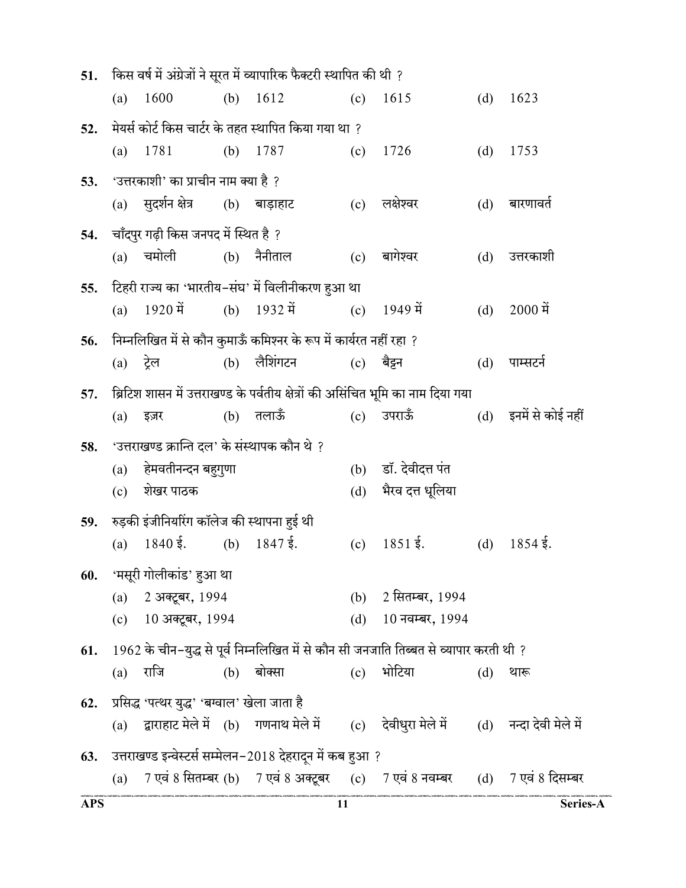| 51.        | (a)         | 1600                                          | (b) | किस वर्ष में अंग्रेजों ने सूरत में व्यापारिक फैक्टरी स्थापित की थी ?<br>1612 | (c)        | 1615                                                                                               | (d) | 1623                  |
|------------|-------------|-----------------------------------------------|-----|------------------------------------------------------------------------------|------------|----------------------------------------------------------------------------------------------------|-----|-----------------------|
|            |             |                                               |     |                                                                              |            |                                                                                                    |     |                       |
| 52.        |             |                                               |     | मेयर्स कोर्ट किस चार्टर के तहत स्थापित किया गया था ?                         |            |                                                                                                    |     |                       |
|            | (a)         | 1781                                          | (b) | 1787                                                                         | (c)        | 1726                                                                                               | (d) | 1753                  |
| 53.        |             | 'उत्तरकाशी' का प्राचीन नाम क्या है ?          |     |                                                                              |            |                                                                                                    |     |                       |
|            | (a)         | सुदर्शन क्षेत्र                               |     | (b) बाड़ाहाट                                                                 | (c)        | लक्षेश्वर                                                                                          | (d) | बारणावर्त             |
| 54.        |             | चाँदपुर गढ़ी किस जनपद में स्थित है ?          |     |                                                                              |            |                                                                                                    |     |                       |
|            | (a)         | चमोली                                         |     | $(b)$ नैनीताल                                                                | (c)        | बागेश्वर                                                                                           | (d) | उत्तरकाशी             |
| 55.        |             |                                               |     | टिहरी राज्य का 'भारतीय-संघ' में विलीनीकरण हुआ था                             |            |                                                                                                    |     |                       |
|            | (a)         | $1920$ में                                    | (b) | 1932 में                                                                     | (c)        | 1949 में                                                                                           | (d) | $2000 \hat{H}$        |
| 56.        |             |                                               |     | निम्नलिखित में से कौन कुमाऊँ कमिश्नर के रूप में कार्यरत नहीं रहा ?           |            |                                                                                                    |     |                       |
|            | $(a)$ ट्रेल |                                               |     | $(b)$ लैशिंगटन                                                               | (c)        | बैडन                                                                                               | (d) | पाम्सटर्न             |
| 57.        |             |                                               |     |                                                                              |            | ब्रिटिश शासन में उत्तराखण्ड के पर्वतीय क्षेत्रों की असिंचित भूमि का नाम दिया गया                   |     |                       |
|            | (a)         | इज़र                                          | (b) | तलाऊँ                                                                        | (c)        | उपराऊँ                                                                                             |     | (d) इनमें से कोई नहीं |
| 58.        |             | 'उत्तराखण्ड क्रान्ति दल' के संस्थापक कौन थे ? |     |                                                                              |            |                                                                                                    |     |                       |
|            | (a)         | हेमवतीनन्दन बहुगुणा                           |     |                                                                              | (b)        | डॉ. देवीदत्त पंत                                                                                   |     |                       |
|            | (c)         | शेखर पाठक                                     |     |                                                                              | (d)        | भैरव दत्त धूलिया                                                                                   |     |                       |
| 59.        |             | रुड़की इंजीनियरिंग कॉलेज की स्थापना हुई थी    |     |                                                                              |            |                                                                                                    |     |                       |
|            | (a)         | $1840\,\frac{5}{3}$ .                         | (b) | $1847 \frac{5}{3}$ .                                                         | (c)        | $1851 \xi.$                                                                                        | (d) | $1854\,\xi.$          |
|            |             |                                               |     |                                                                              |            |                                                                                                    |     |                       |
| 60.        |             | 'मसूरी गोलीकांड' हुआ था                       |     |                                                                              |            | 2 सितम्बर, 1994                                                                                    |     |                       |
|            | (a)         | 2 अक्टूबर, 1994<br>(c) 10 अक्टूबर, 1994       |     |                                                                              | (b)<br>(d) | 10 नवम्बर, 1994                                                                                    |     |                       |
|            |             |                                               |     |                                                                              |            |                                                                                                    |     |                       |
| 61.        |             |                                               |     |                                                                              |            | 1962 के चीन-युद्ध से पूर्व निम्नलिखित में से कौन सी जनजाति तिब्बत से व्यापार करती थी ?             |     |                       |
|            | (a)         | राजि                                          |     | $(b)$ बोक्सा                                                                 | (c)        | भोटिया                                                                                             | (d) | थारू                  |
| 62.        |             | प्रसिद्ध 'पत्थर युद्ध' 'बग्वाल' खेला जाता है  |     |                                                                              |            |                                                                                                    |     |                       |
|            | (a)         |                                               |     |                                                                              |            | द्वाराहाट मेले में (b)  गणनाथ मेले में      (c)   देवीधुरा मेले में      (d)   नन्दा देवी मेले में |     |                       |
| 63.        |             |                                               |     | उत्तराखण्ड इन्वेस्टर्स सम्मेलन–2018 देहरादून में कब हुआ ?                    |            |                                                                                                    |     |                       |
|            | (a)         |                                               |     |                                                                              |            | 7 एवं 8 सितम्बर (b)    7 एवं 8 अक्टूबर      (c)     7 एवं 8 नवम्बर       (d)     7 एवं 8 दिसम्बर   |     |                       |
| <b>APS</b> |             |                                               |     |                                                                              | 11         |                                                                                                    |     | Series-A              |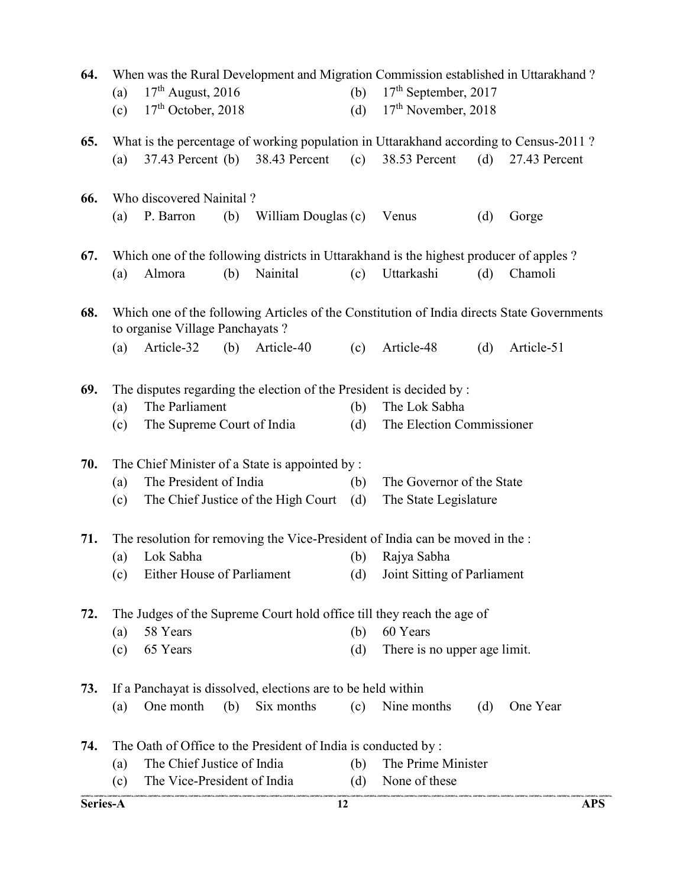| 64.      | (a)<br>(c) | $17th$ August, 2016<br>$17th$ October, 2018  |     | When was the Rural Development and Migration Commission established in Uttarakhand?                    | (b)<br>(d) | 17 <sup>th</sup> September, 2017<br>17 <sup>th</sup> November, 2018 |     |               |            |
|----------|------------|----------------------------------------------|-----|--------------------------------------------------------------------------------------------------------|------------|---------------------------------------------------------------------|-----|---------------|------------|
| 65.      | (a)        | $37.43$ Percent (b)                          |     | What is the percentage of working population in Uttarakhand according to Census-2011?<br>38.43 Percent | (c)        | 38.53 Percent                                                       | (d) | 27.43 Percent |            |
| 66.      | (a)        | Who discovered Nainital?<br>P. Barron        | (b) | William Douglas (c)                                                                                    |            | Venus                                                               | (d) | Gorge         |            |
|          |            |                                              |     |                                                                                                        |            |                                                                     |     |               |            |
| 67.      |            |                                              |     | Which one of the following districts in Uttarakhand is the highest producer of apples?                 |            |                                                                     |     |               |            |
|          | (a)        | Almora                                       | (b) | Nainital                                                                                               | (c)        | Uttarkashi                                                          | (d) | Chamoli       |            |
| 68.      |            | to organise Village Panchayats?              |     | Which one of the following Articles of the Constitution of India directs State Governments             |            |                                                                     |     |               |            |
|          | (a)        | Article-32                                   | (b) | Article-40                                                                                             | (c)        | Article-48                                                          | (d) | Article-51    |            |
| 69.      | (a)<br>(c) | The Parliament<br>The Supreme Court of India |     | The disputes regarding the election of the President is decided by :                                   | (b)<br>(d) | The Lok Sabha<br>The Election Commissioner                          |     |               |            |
| 70.      |            |                                              |     | The Chief Minister of a State is appointed by :                                                        |            |                                                                     |     |               |            |
|          | (a)<br>(c) | The President of India                       |     | The Chief Justice of the High Court                                                                    | (b)<br>(d) | The Governor of the State<br>The State Legislature                  |     |               |            |
| 71.      |            |                                              |     | The resolution for removing the Vice-President of India can be moved in the :                          |            |                                                                     |     |               |            |
|          | (a)        | Lok Sabha                                    |     |                                                                                                        | (b)        | Rajya Sabha                                                         |     |               |            |
|          | (c)        | Either House of Parliament                   |     |                                                                                                        | (d)        | Joint Sitting of Parliament                                         |     |               |            |
| 72.      |            |                                              |     | The Judges of the Supreme Court hold office till they reach the age of                                 |            |                                                                     |     |               |            |
|          | (a)        | 58 Years                                     |     |                                                                                                        | (b)        | 60 Years                                                            |     |               |            |
|          | (c)        | 65 Years                                     |     |                                                                                                        | (d)        | There is no upper age limit.                                        |     |               |            |
| 73.      |            |                                              |     | If a Panchayat is dissolved, elections are to be held within                                           |            |                                                                     |     |               |            |
|          | (a)        | One month                                    | (b) | Six months                                                                                             | (c)        | Nine months                                                         | (d) | One Year      |            |
| 74.      |            |                                              |     | The Oath of Office to the President of India is conducted by :                                         |            |                                                                     |     |               |            |
|          | (a)        | The Chief Justice of India                   |     |                                                                                                        | (b)        | The Prime Minister                                                  |     |               |            |
|          | (c)        | The Vice-President of India                  |     |                                                                                                        | (d)        | None of these                                                       |     |               |            |
| Series-A |            |                                              |     |                                                                                                        | 12         |                                                                     |     |               | <b>APS</b> |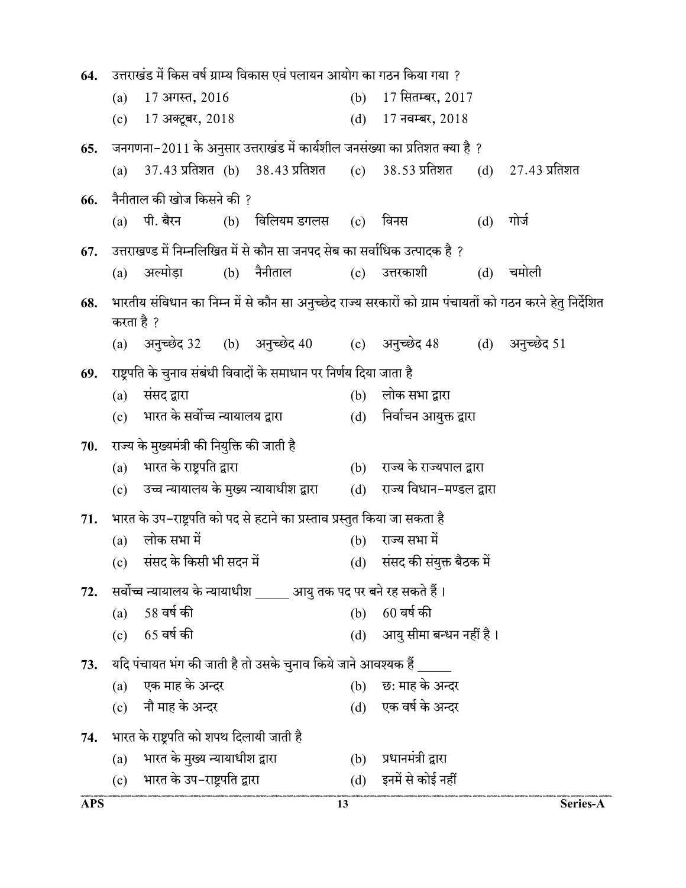| 64. | उत्तराखंड में किस वर्ष ग्राम्य विकास एवं पलायन आयोग का गठन किया गया ?                                                  |                                             |     |                                 |                               |                                                                 |     |                     |  |
|-----|------------------------------------------------------------------------------------------------------------------------|---------------------------------------------|-----|---------------------------------|-------------------------------|-----------------------------------------------------------------|-----|---------------------|--|
|     | (a)                                                                                                                    | 17 अगस्त, 2016                              |     |                                 | (b)                           | 17 सितम्बर, 2017                                                |     |                     |  |
|     | (c)                                                                                                                    | 17 अक्टूबर, 2018                            |     |                                 | (d)                           | $17\,$ नवम्बर, $2018\,$                                         |     |                     |  |
| 65. | जनगणना-2011 के अनुसार उत्तराखंड में कार्यशील जनसंख्या का प्रतिशत क्या है ?                                             |                                             |     |                                 |                               |                                                                 |     |                     |  |
|     | (a)                                                                                                                    |                                             |     | 37.43 प्रतिशत (b) 38.43 प्रतिशत |                               | (c) 38.53 प्रतिशत                                               |     | $(d)$ 27.43 प्रतिशत |  |
| 66. |                                                                                                                        | नैनीताल की खोज किसने की ?                   |     |                                 |                               |                                                                 |     |                     |  |
|     |                                                                                                                        | (a) पी. बैरन                                |     | (b) विलियम डगलस (c) विनस        |                               |                                                                 | (d) | गोर्ज               |  |
| 67. | उत्तराखण्ड में निम्नलिखित में से कौन सा जनपद सेब का सर्वाधिक उत्पादक है ?                                              |                                             |     |                                 |                               |                                                                 |     |                     |  |
|     | (a)                                                                                                                    | अल्मोडा                                     |     | (b) नैनीताल                     |                               | (c) उत्तरकाशी                                                   | (d) | चमोली               |  |
| 68. | भारतीय संविधान का निम्न में से कौन सा अनुच्छेद राज्य सरकारों को ग्राम पंचायतों को गठन करने हेतु निर्देशित<br>करता है ? |                                             |     |                                 |                               |                                                                 |     |                     |  |
|     |                                                                                                                        |                                             |     |                                 |                               | (a) अनुच्छेद 32 (b) अनुच्छेद 40 (c) अनुच्छेद 48 (d) अनुच्छेद 51 |     |                     |  |
| 69. | राष्ट्रपति के चुनाव संबंधी विवादों के समाधान पर निर्णय दिया जाता है                                                    |                                             |     |                                 |                               |                                                                 |     |                     |  |
|     | (a)                                                                                                                    | संसद द्वारा                                 |     |                                 | (b)                           | लोक सभा द्वारा                                                  |     |                     |  |
|     | (c) भारत के सर्वोच्च न्यायालय द्वारा                                                                                   |                                             |     |                                 | (d)    निर्वाचन आयुक्त द्वारा |                                                                 |     |                     |  |
| 70. |                                                                                                                        | राज्य के मुख्यमंत्री की नियुक्ति की जाती है |     |                                 |                               |                                                                 |     |                     |  |
|     | (a)                                                                                                                    | भारत के राष्ट्रपति द्वारा                   |     |                                 |                               | (b) राज्य के राज्यपाल द्वारा                                    |     |                     |  |
|     | (c)                                                                                                                    | उच्च न्यायालय के मुख्य न्यायाधीश द्वारा     |     |                                 | (d)                           | राज्य विधान-मण्डल द्वारा                                        |     |                     |  |
| 71. | भारत के उप–राष्ट्रपति को पद से हटाने का प्रस्ताव प्रस्तुत किया जा सकता है                                              |                                             |     |                                 |                               |                                                                 |     |                     |  |
|     | लोक सभा में<br>(a)                                                                                                     |                                             | (b) | राज्य सभा में                   |                               |                                                                 |     |                     |  |
|     | (c) संसद के किसी भी सदन में                                                                                            |                                             |     |                                 | (d) संसद की संयुक्त बैठक में  |                                                                 |     |                     |  |
| 72. | सर्वोच्च न्यायालय के न्यायाधीश बाट आयु तक पद पर बने रह सकते हैं।                                                       |                                             |     |                                 |                               |                                                                 |     |                     |  |
|     | (a)                                                                                                                    | 58 वर्ष की                                  |     |                                 | (b)                           | 60 वर्ष की                                                      |     |                     |  |
|     | 65 वर्ष की<br>(c)                                                                                                      |                                             |     |                                 | (d) आयु सीमा बन्धन नहीं है।   |                                                                 |     |                     |  |
| 73. | यदि पंचायत भंग की जाती है तो उसके चुनाव किये जाने आवश्यक हैं                                                           |                                             |     |                                 |                               |                                                                 |     |                     |  |
|     | (a)                                                                                                                    | एक माह के अन्दर                             |     |                                 | (b)                           | छ: माह के अन्दर                                                 |     |                     |  |
|     |                                                                                                                        | (c) नौ माह के अन्दर                         |     |                                 |                               | (d) एक वर्ष के अन्दर                                            |     |                     |  |
| 74. |                                                                                                                        | भारत के राष्ट्रपति को शपथ दिलायी जाती है    |     |                                 |                               |                                                                 |     |                     |  |
|     | (a)                                                                                                                    | भारत के मुख्य न्यायाधीश द्वारा              |     |                                 | (b)                           | प्रधानमंत्री द्वारा                                             |     |                     |  |
|     |                                                                                                                        |                                             |     |                                 |                               |                                                                 |     |                     |  |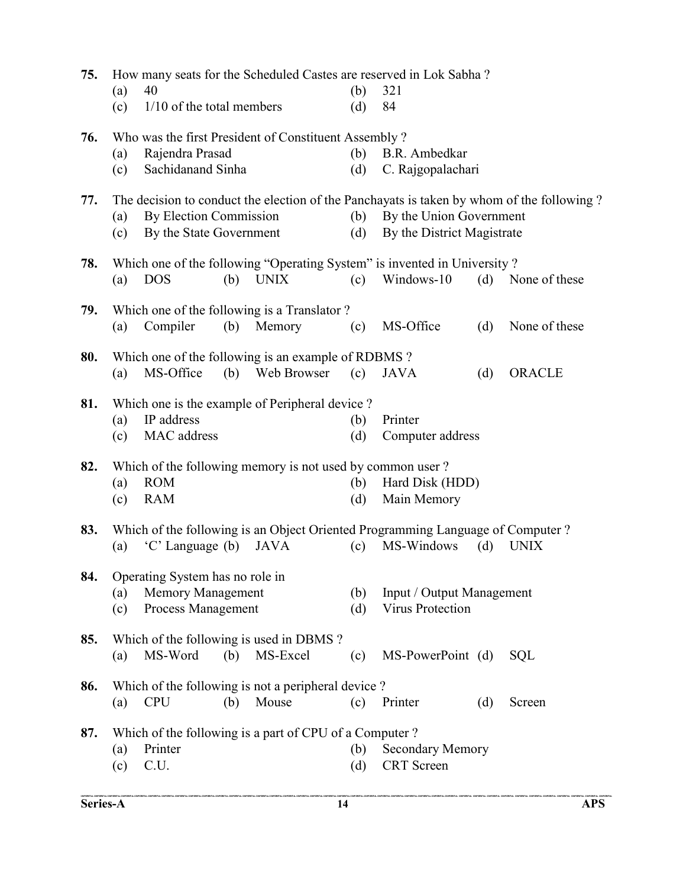|     | (a)                                                  | How many seats for the Scheduled Castes are reserved in Lok Sabha?<br>40<br>$1/10$ of the total members |     |                                                           | (b)        | 321                                                                                          |     |                                                                                           |  |  |
|-----|------------------------------------------------------|---------------------------------------------------------------------------------------------------------|-----|-----------------------------------------------------------|------------|----------------------------------------------------------------------------------------------|-----|-------------------------------------------------------------------------------------------|--|--|
|     | (c)                                                  |                                                                                                         |     |                                                           | (d)        | 84                                                                                           |     |                                                                                           |  |  |
| 76. | Who was the first President of Constituent Assembly? |                                                                                                         |     |                                                           |            |                                                                                              |     |                                                                                           |  |  |
|     | (a)                                                  | Rajendra Prasad                                                                                         |     |                                                           | (b)        | B.R. Ambedkar                                                                                |     |                                                                                           |  |  |
|     | (c)                                                  | Sachidanand Sinha                                                                                       |     |                                                           | (d)        | C. Rajgopalachari                                                                            |     |                                                                                           |  |  |
| 77. |                                                      |                                                                                                         |     |                                                           |            |                                                                                              |     | The decision to conduct the election of the Panchayats is taken by whom of the following? |  |  |
|     | (a)                                                  | By Election Commission                                                                                  |     |                                                           | (b)        | By the Union Government                                                                      |     |                                                                                           |  |  |
|     | (c)                                                  | By the State Government                                                                                 |     |                                                           | (d)        | By the District Magistrate                                                                   |     |                                                                                           |  |  |
| 78. |                                                      |                                                                                                         |     |                                                           |            | Which one of the following "Operating System" is invented in University?                     |     |                                                                                           |  |  |
|     | (a)                                                  | <b>DOS</b>                                                                                              | (b) | <b>UNIX</b>                                               | (c)        | Windows-10                                                                                   |     | (d) None of these                                                                         |  |  |
|     |                                                      |                                                                                                         |     |                                                           |            |                                                                                              |     |                                                                                           |  |  |
| 79. | (a)                                                  | Compiler                                                                                                | (b) | Which one of the following is a Translator?<br>Memory     | (c)        | MS-Office                                                                                    | (d) | None of these                                                                             |  |  |
|     |                                                      |                                                                                                         |     |                                                           |            |                                                                                              |     |                                                                                           |  |  |
| 80. |                                                      |                                                                                                         |     | Which one of the following is an example of RDBMS?        |            |                                                                                              |     |                                                                                           |  |  |
|     | (a)                                                  | MS-Office                                                                                               |     | (b) Web Browser                                           | (c)        | <b>JAVA</b>                                                                                  | (d) | <b>ORACLE</b>                                                                             |  |  |
| 81. |                                                      |                                                                                                         |     | Which one is the example of Peripheral device?            |            |                                                                                              |     |                                                                                           |  |  |
|     | (a)                                                  | IP address                                                                                              |     |                                                           | (b)        | Printer                                                                                      |     |                                                                                           |  |  |
|     | (c)                                                  | MAC address                                                                                             |     |                                                           | (d)        | Computer address                                                                             |     |                                                                                           |  |  |
| 82. |                                                      |                                                                                                         |     | Which of the following memory is not used by common user? |            |                                                                                              |     |                                                                                           |  |  |
|     | (a)                                                  | <b>ROM</b>                                                                                              |     |                                                           | (b)        | Hard Disk (HDD)                                                                              |     |                                                                                           |  |  |
|     | (c)                                                  | <b>RAM</b>                                                                                              |     |                                                           | (d)        | Main Memory                                                                                  |     |                                                                                           |  |  |
|     |                                                      |                                                                                                         |     |                                                           |            |                                                                                              |     |                                                                                           |  |  |
| 83. | (a)                                                  | 'C' Language (b)                                                                                        |     | <b>JAVA</b>                                               | (c)        | Which of the following is an Object Oriented Programming Language of Computer?<br>MS-Windows | (d) | <b>UNIX</b>                                                                               |  |  |
|     |                                                      |                                                                                                         |     |                                                           |            |                                                                                              |     |                                                                                           |  |  |
| 84. |                                                      | Operating System has no role in                                                                         |     |                                                           | (b)        |                                                                                              |     |                                                                                           |  |  |
|     | (a)                                                  | <b>Memory Management</b><br>Process Management                                                          |     |                                                           |            | Input / Output Management<br>Virus Protection                                                |     |                                                                                           |  |  |
|     | (c)                                                  |                                                                                                         |     |                                                           | (d)        |                                                                                              |     |                                                                                           |  |  |
| 85. |                                                      |                                                                                                         |     | Which of the following is used in DBMS?                   |            |                                                                                              |     |                                                                                           |  |  |
|     | (a)                                                  | MS-Word                                                                                                 | (b) | MS-Excel                                                  | (c)        | MS-PowerPoint (d)                                                                            |     | <b>SQL</b>                                                                                |  |  |
| 86. |                                                      |                                                                                                         |     | Which of the following is not a peripheral device?        |            |                                                                                              |     |                                                                                           |  |  |
|     | (a)                                                  | <b>CPU</b>                                                                                              | (b) | Mouse                                                     | (c)        | Printer                                                                                      | (d) | Screen                                                                                    |  |  |
|     |                                                      |                                                                                                         |     |                                                           |            |                                                                                              |     |                                                                                           |  |  |
| 87. |                                                      | Printer                                                                                                 |     | Which of the following is a part of CPU of a Computer?    |            |                                                                                              |     |                                                                                           |  |  |
|     | (a)<br>(c)                                           | C.U.                                                                                                    |     |                                                           | (b)<br>(d) | <b>Secondary Memory</b><br><b>CRT</b> Screen                                                 |     |                                                                                           |  |  |
|     |                                                      |                                                                                                         |     |                                                           |            |                                                                                              |     |                                                                                           |  |  |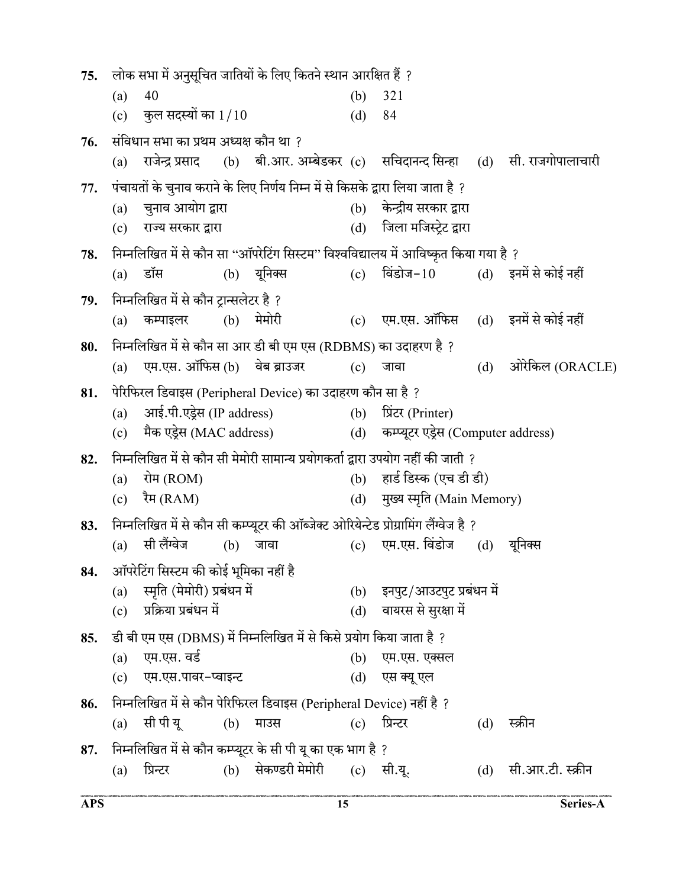$75.$  लोक सभा में अनुसूचित जातियों के लिए कितने स्थान आरक्षित हैं ? (a) 40 (b) 321 (c) कुल सदस्यों का  $1/10$  (d) 84  $76.$  संविधान सभा का प्रथम अध्यक्ष कौन था ? (a) राजेन्द्र प्रसाद (b) बी.आर. अम्बेडकर (c) सचिदानन्द सिन्हा (d) सी. राजगोपालाचारी 77. पंचायतों के चुनाव कराने के लिए निर्णय निम्न में से किसके द्वारा लिया जाता है ? (a) चुनाव आयोग द्वारा (b) केन्द्रीय सरकार द्वारा (c) राज्य सरकार द्वारा (d) जिला मजिस्टेट द्वारा 78. निम्नलिखित में से कौन सा "ऑपरेटिंग सिस्टम" विश्वविद्यालय में आविष्कृत किया गया है ? (a) डॉस (b) यूनिक्स (c) विंडोज-10 (d) इनमें से कोई नहीं  $79.$  निम्नलिखित में से कौन ट्रान्सलेटर है ? (a) कम्पाइलर (b) मेमोरी (c) एम.एस. ऑफिस (d) इनमें से कोई नहीं 80. (RDBMS) ? (a) एम.एस. ऑफिस (b) वेब ब्राउजर (c) जावा  $($ d) ओरेकिल (ORACLE) 81. पेरिफिरल डिवाइस (Peripheral Device) का उदाहरण कौन सा है ? (a) आई.पी.एड्रेस (IP address) (b) प्रिंटर (Printer) (c) मैक एड्रेस (MAC address) (d) कम्प्यूटर एड्रेस (Computer address) 82. निम्नलिखित में से कौन सी मेमोरी सामान्य प्रयोगकर्ता द्वारा उपयोग नहीं की जाती ? (a) रोम (ROM)  $(b)$  हार्ड डिस्क (एच डी डी) (c) रैम (RAM)  $(d)$  मुख्य स्मृति (Main Memory) 83. निम्नलिखित में से कौन सी कम्प्यूटर की ऑब्जेक्ट ओरियेन्टेड प्रोग्रामिंग लैंग्वेज है ? (a) सीलैंग्वेज (b) जावा (c) एम.एस. विंडोज (d) यूनिक्स 84. ऑपरेटिंग सिस्टम की कोई भूमिका नहीं है (a) स्मृति (मेमोरी) प्रबंधन में (b) इनपुट/आउटपुट प्रबंधन में (c) प्रक्रिया प्रबंधन में (d) वायरस से सुरक्षा में 85. डी बी एम एस (DBMS) में निम्नलिखित में से किसे प्रयोग किया जाता है ? (a) एम.एस. वर्ड<br>(b) एम.एस. एक्सल (c) एम.एस.पावर-प्वाइन्ट (d) एस क्यू एल 86. निम्नलिखित में से कौन पेरिफिरल डिवाइस (Peripheral Device) नहीं है ? (a) सीपीयू (b) माउस (c) प्रिन्टर (d) स्क्रीन 87. निम्नलिखित में से कौन कम्प्यूटर के सी पी यू का एक भाग है ? (a) प्रिन्टर (b) सेकण्डरी मेमोरी (c) सी.यू. (d) सी.आर.टी. स्क्रीन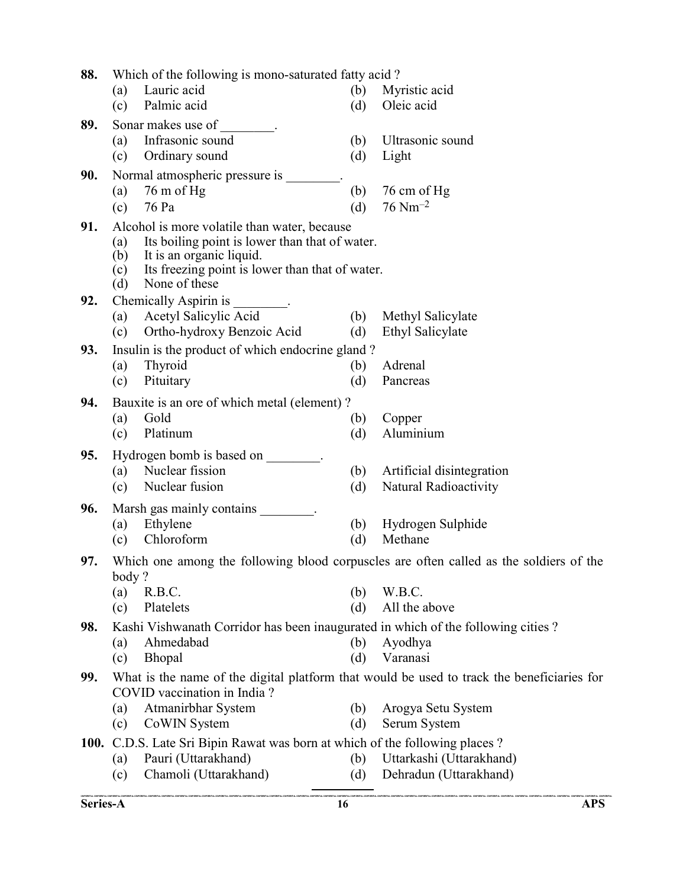| 88.         | Which of the following is mono-saturated fatty acid?                                                                                                                                                                       |                                                                                               |            |                                                                                        |  |  |  |
|-------------|----------------------------------------------------------------------------------------------------------------------------------------------------------------------------------------------------------------------------|-----------------------------------------------------------------------------------------------|------------|----------------------------------------------------------------------------------------|--|--|--|
|             | (a)                                                                                                                                                                                                                        | Lauric acid                                                                                   | (b)        | Myristic acid                                                                          |  |  |  |
|             | (c)                                                                                                                                                                                                                        | Palmic acid                                                                                   | (d)        | Oleic acid                                                                             |  |  |  |
| 89.         |                                                                                                                                                                                                                            | Sonar makes use of                                                                            |            |                                                                                        |  |  |  |
|             | (a)                                                                                                                                                                                                                        | Infrasonic sound                                                                              | (b)        | Ultrasonic sound                                                                       |  |  |  |
|             | (c)                                                                                                                                                                                                                        | Ordinary sound                                                                                | (d)        | Light                                                                                  |  |  |  |
| 90.         |                                                                                                                                                                                                                            | Normal atmospheric pressure is .                                                              |            |                                                                                        |  |  |  |
|             | (a)                                                                                                                                                                                                                        | $76 \text{ m of Hg}$                                                                          | (b)        | 76 cm of Hg                                                                            |  |  |  |
|             | (c)                                                                                                                                                                                                                        | 76 Pa                                                                                         | (d)        | $76 \text{ Nm}^{-2}$                                                                   |  |  |  |
| 91.         | Alcohol is more volatile than water, because<br>Its boiling point is lower than that of water.<br>(a)<br>It is an organic liquid.<br>(b)<br>Its freezing point is lower than that of water.<br>(c)<br>None of these<br>(d) |                                                                                               |            |                                                                                        |  |  |  |
| 92.         |                                                                                                                                                                                                                            | Chemically Aspirin is                                                                         |            |                                                                                        |  |  |  |
|             | (a)                                                                                                                                                                                                                        | Acetyl Salicylic Acid                                                                         | (b)        | Methyl Salicylate                                                                      |  |  |  |
|             | (c)                                                                                                                                                                                                                        | Ortho-hydroxy Benzoic Acid                                                                    | (d)        | Ethyl Salicylate                                                                       |  |  |  |
| 93.         |                                                                                                                                                                                                                            | Insulin is the product of which endocrine gland?                                              |            |                                                                                        |  |  |  |
|             | (a)                                                                                                                                                                                                                        | Thyroid                                                                                       | (b)        | Adrenal                                                                                |  |  |  |
|             | (c)                                                                                                                                                                                                                        | Pituitary                                                                                     | (d)        | Pancreas                                                                               |  |  |  |
| 94.         |                                                                                                                                                                                                                            | Bauxite is an ore of which metal (element)?                                                   |            |                                                                                        |  |  |  |
|             | (a)                                                                                                                                                                                                                        | Gold                                                                                          | (b)        | Copper                                                                                 |  |  |  |
|             | (c)                                                                                                                                                                                                                        | Platinum                                                                                      | (d)        | Aluminium                                                                              |  |  |  |
| 95.         |                                                                                                                                                                                                                            | Hydrogen bomb is based on ________.                                                           |            |                                                                                        |  |  |  |
|             | (a)                                                                                                                                                                                                                        | Nuclear fission                                                                               | (b)        | Artificial disintegration                                                              |  |  |  |
|             | (c)                                                                                                                                                                                                                        | Nuclear fusion                                                                                | (d)        | Natural Radioactivity                                                                  |  |  |  |
| 96.         |                                                                                                                                                                                                                            | Marsh gas mainly contains _________.                                                          |            |                                                                                        |  |  |  |
|             | (a)                                                                                                                                                                                                                        | Ethylene                                                                                      | (b)        | Hydrogen Sulphide                                                                      |  |  |  |
|             | (c)                                                                                                                                                                                                                        | Chloroform                                                                                    | (d)        | Methane                                                                                |  |  |  |
| 97.         |                                                                                                                                                                                                                            |                                                                                               |            | Which one among the following blood corpuscles are often called as the soldiers of the |  |  |  |
|             | body?                                                                                                                                                                                                                      |                                                                                               |            |                                                                                        |  |  |  |
|             | (a)                                                                                                                                                                                                                        | R.B.C.<br>Platelets                                                                           | (b)        | W.B.C.<br>All the above                                                                |  |  |  |
|             | (c)                                                                                                                                                                                                                        |                                                                                               | (d)        |                                                                                        |  |  |  |
| 98.         |                                                                                                                                                                                                                            | Kashi Vishwanath Corridor has been inaugurated in which of the following cities?<br>Ahmedabad |            |                                                                                        |  |  |  |
|             | (a)<br>(c)                                                                                                                                                                                                                 | Bhopal                                                                                        | (b)<br>(d) | Ayodhya<br>Varanasi                                                                    |  |  |  |
| 99.         |                                                                                                                                                                                                                            |                                                                                               |            |                                                                                        |  |  |  |
|             | What is the name of the digital platform that would be used to track the beneficiaries for<br>COVID vaccination in India?                                                                                                  |                                                                                               |            |                                                                                        |  |  |  |
|             | (a)                                                                                                                                                                                                                        | Atmanirbhar System                                                                            | (b)        | Arogya Setu System                                                                     |  |  |  |
|             | (c)                                                                                                                                                                                                                        | CoWIN System                                                                                  | (d)        | Serum System                                                                           |  |  |  |
| <b>100.</b> |                                                                                                                                                                                                                            | C.D.S. Late Sri Bipin Rawat was born at which of the following places?                        |            |                                                                                        |  |  |  |
|             | (a)                                                                                                                                                                                                                        | Pauri (Uttarakhand)                                                                           | (b)        | Uttarkashi (Uttarakhand)                                                               |  |  |  |
|             | (c)                                                                                                                                                                                                                        | Chamoli (Uttarakhand)                                                                         | (d)        | Dehradun (Uttarakhand)                                                                 |  |  |  |
|             |                                                                                                                                                                                                                            |                                                                                               |            |                                                                                        |  |  |  |